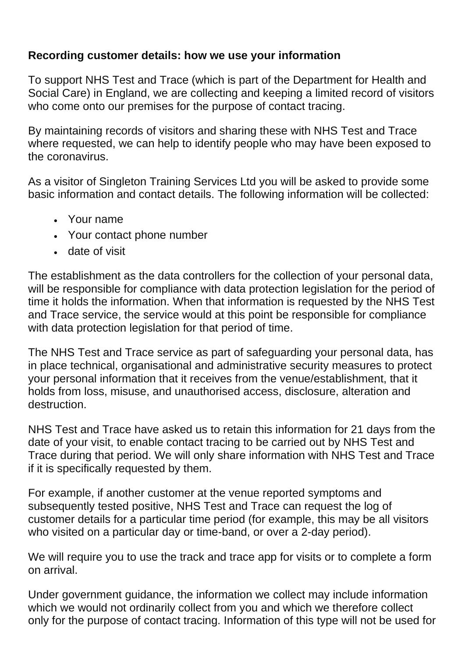## **Recording customer details: how we use your information**

To support NHS Test and Trace (which is part of the Department for Health and Social Care) in England, we are collecting and keeping a limited record of visitors who come onto our premises for the purpose of contact tracing.

By maintaining records of visitors and sharing these with NHS Test and Trace where requested, we can help to identify people who may have been exposed to the coronavirus.

As a visitor of Singleton Training Services Ltd you will be asked to provide some basic information and contact details. The following information will be collected:

- Your name
- Your contact phone number
- date of visit

The establishment as the data controllers for the collection of your personal data, will be responsible for compliance with data protection legislation for the period of time it holds the information. When that information is requested by the NHS Test and Trace service, the service would at this point be responsible for compliance with data protection legislation for that period of time.

The NHS Test and Trace service as part of safeguarding your personal data, has in place technical, organisational and administrative security measures to protect your personal information that it receives from the venue/establishment, that it holds from loss, misuse, and unauthorised access, disclosure, alteration and destruction.

NHS Test and Trace have asked us to retain this information for 21 days from the date of your visit, to enable contact tracing to be carried out by NHS Test and Trace during that period. We will only share information with NHS Test and Trace if it is specifically requested by them.

For example, if another customer at the venue reported symptoms and subsequently tested positive, NHS Test and Trace can request the log of customer details for a particular time period (for example, this may be all visitors who visited on a particular day or time-band, or over a 2-day period).

We will require you to use the track and trace app for visits or to complete a form on arrival.

Under government guidance, the information we collect may include information which we would not ordinarily collect from you and which we therefore collect only for the purpose of contact tracing. Information of this type will not be used for